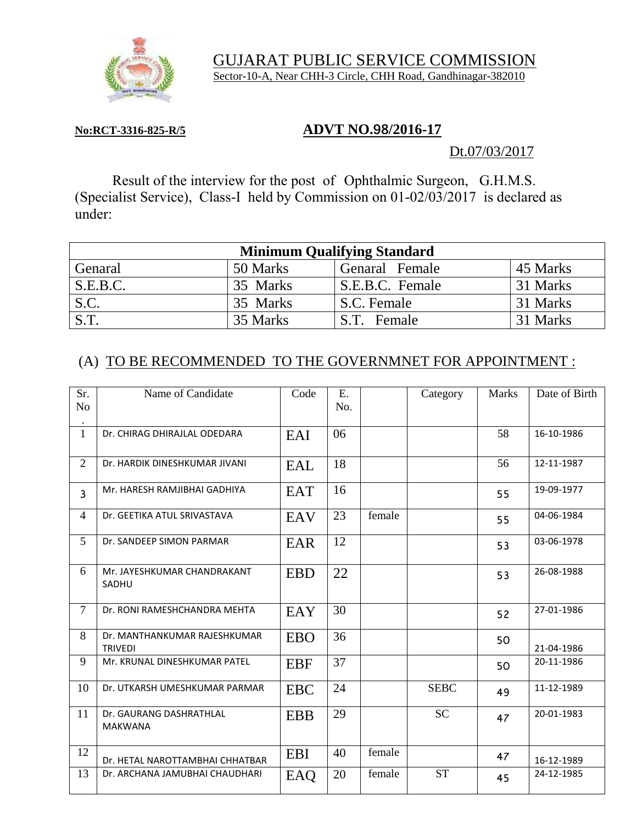

 GUJARAT PUBLIC SERVICE COMMISSION Sector-10-A, Near CHH-3 Circle, CHH Road, Gandhinagar-382010

### **No:RCT-3316-825-R/5 ADVT NO.98/2016-17**

### Dt.07/03/2017

Result of the interview for the post of Ophthalmic Surgeon, G.H.M.S. (Specialist Service), Class-I held by Commission on 01-02/03/2017 is declared as under:

| <b>Minimum Qualifying Standard</b> |          |                 |          |  |  |  |
|------------------------------------|----------|-----------------|----------|--|--|--|
| Genaral                            | 50 Marks | Genaral Female  | 45 Marks |  |  |  |
| S.E.B.C.                           | 35 Marks | S.E.B.C. Female | 31 Marks |  |  |  |
| S.C.                               | 35 Marks | S.C. Female     | 31 Marks |  |  |  |
| S.T.                               | 35 Marks | S.T. Female     | 31 Marks |  |  |  |

## (A) TO BE RECOMMENDED TO THE GOVERNMNET FOR APPOINTMENT :

| Sr.<br>No      | Name of Candidate                              | Code       | E.<br>No. |        | Category    | <b>Marks</b> | Date of Birth |
|----------------|------------------------------------------------|------------|-----------|--------|-------------|--------------|---------------|
| $\mathbf{1}$   | Dr. CHIRAG DHIRAJLAL ODEDARA                   | EAI        | 06        |        |             | 58           | 16-10-1986    |
| $\overline{2}$ | Dr. HARDIK DINESHKUMAR JIVANI                  | EAL        | 18        |        |             | 56           | 12-11-1987    |
| $\mathbf{3}$   | Mr. HARESH RAMJIBHAI GADHIYA                   | EAT        | 16        |        |             | 55           | 19-09-1977    |
| 4              | Dr. GEETIKA ATUL SRIVASTAVA                    | EAV        | 23        | female |             | 55           | 04-06-1984    |
| 5 <sup>5</sup> | Dr. SANDEEP SIMON PARMAR                       | EAR        | 12        |        |             | 53           | 03-06-1978    |
| 6              | Mr. JAYESHKUMAR CHANDRAKANT<br>SADHU           | <b>EBD</b> | 22        |        |             | 53           | 26-08-1988    |
| $\overline{7}$ | Dr. RONI RAMESHCHANDRA MEHTA                   | EAY        | 30        |        |             | 52           | 27-01-1986    |
| 8              | Dr. MANTHANKUMAR RAJESHKUMAR<br><b>TRIVEDI</b> | <b>EBO</b> | 36        |        |             | 50           | 21-04-1986    |
| 9              | Mr. KRUNAL DINESHKUMAR PATEL                   | <b>EBF</b> | 37        |        |             | 50           | 20-11-1986    |
| 10             | Dr. UTKARSH UMESHKUMAR PARMAR                  | <b>EBC</b> | 24        |        | <b>SEBC</b> | 49           | 11-12-1989    |
| 11             | Dr. GAURANG DASHRATHLAL<br><b>MAKWANA</b>      | <b>EBB</b> | 29        |        | <b>SC</b>   | 47           | 20-01-1983    |
| 12             | Dr. HETAL NAROTTAMBHAI CHHATBAR                | <b>EBI</b> | 40        | female |             | 47           | 16-12-1989    |
| 13             | Dr. ARCHANA JAMUBHAI CHAUDHARI                 | EAQ        | 20        | female | <b>ST</b>   | 45           | 24-12-1985    |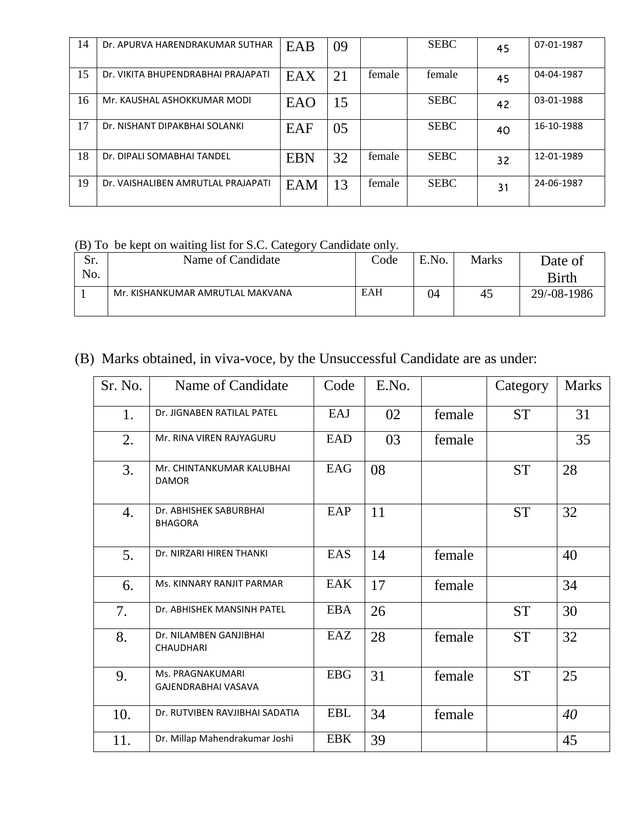| 14 | Dr. APURVA HARENDRAKUMAR SUTHAR    | EAB        | 09 |        | <b>SEBC</b> | 45 | 07-01-1987 |
|----|------------------------------------|------------|----|--------|-------------|----|------------|
| 15 | Dr. VIKITA BHUPENDRABHAI PRAJAPATI | EAX        | 21 | female | female      | 45 | 04-04-1987 |
| 16 | Mr. KAUSHAL ASHOKKUMAR MODI        | EAO        | 15 |        | <b>SEBC</b> | 42 | 03-01-1988 |
| 17 | Dr. NISHANT DIPAKBHAI SOLANKI      | EAF        | 05 |        | <b>SEBC</b> | 40 | 16-10-1988 |
| 18 | Dr. DIPALI SOMABHAI TANDEL         | <b>EBN</b> | 32 | female | <b>SEBC</b> | 32 | 12-01-1989 |
| 19 | Dr. VAISHALIBEN AMRUTLAL PRAJAPATI | EAM        | 13 | female | <b>SEBC</b> | 31 | 24-06-1987 |

#### (B) To be kept on waiting list for S.C. Category Candidate only.

| Sr. | ີ<br>ັ<br>Name of Candidate      | Code | E.No. | <b>Marks</b> | Date of      |
|-----|----------------------------------|------|-------|--------------|--------------|
| No. |                                  |      |       |              | <b>Birth</b> |
|     | Mr. KISHANKUMAR AMRUTLAL MAKVANA | EAH  | 04    | 45           | 29/-08-1986  |
|     |                                  |      |       |              |              |

# (B) Marks obtained, in viva-voce, by the Unsuccessful Candidate are as under:

| Sr. No.          | Name of Candidate                          | Code       | E.No. |        | Category  | <b>Marks</b> |
|------------------|--------------------------------------------|------------|-------|--------|-----------|--------------|
| 1.               | Dr. JIGNABEN RATILAL PATEL                 | EAJ        | 02    | female | <b>ST</b> | 31           |
| 2.               | Mr. RINA VIREN RAJYAGURU                   | <b>EAD</b> | 03    | female |           | 35           |
| 3.               | Mr. CHINTANKUMAR KALUBHAI<br><b>DAMOR</b>  | EAG        | 08    |        | <b>ST</b> | 28           |
| $\overline{4}$ . | Dr. ABHISHEK SABURBHAI<br><b>BHAGORA</b>   | EAP        | 11    |        | <b>ST</b> | 32           |
| 5.               | Dr. NIRZARI HIREN THANKI                   | EAS        | 14    | female |           | 40           |
| 6.               | Ms. KINNARY RANJIT PARMAR                  | EAK        | 17    | female |           | 34           |
| 7.               | Dr. ABHISHEK MANSINH PATEL                 | <b>EBA</b> | 26    |        | <b>ST</b> | 30           |
| 8.               | Dr. NILAMBEN GANJIBHAI<br><b>CHAUDHARI</b> | EAZ        | 28    | female | <b>ST</b> | 32           |
| 9.               | Ms. PRAGNAKUMARI<br>GAJENDRABHAI VASAVA    | <b>EBG</b> | 31    | female | <b>ST</b> | 25           |
| 10.              | Dr. RUTVIBEN RAVJIBHAI SADATIA             | <b>EBL</b> | 34    | female |           | 40           |
| 11.              | Dr. Millap Mahendrakumar Joshi             | <b>EBK</b> | 39    |        |           | 45           |